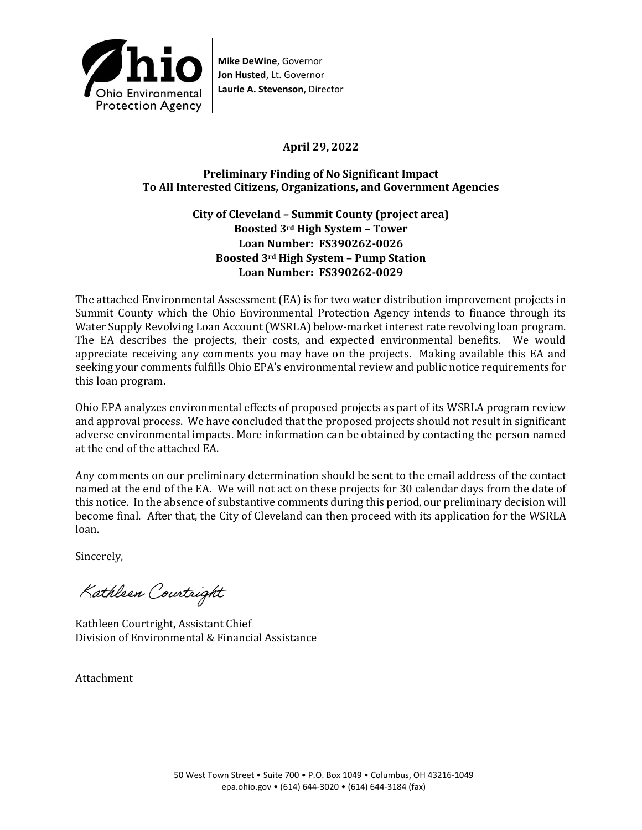

**Mike DeWine**, Governor **Jon Husted**, Lt. Governor **Laurie A. Stevenson**, Director

## **April 29, 2022**

### **Preliminary Finding of No Significant Impact To All Interested Citizens, Organizations, and Government Agencies**

### **City of Cleveland – Summit County (project area) Boosted 3rd High System – Tower Loan Number: FS390262-0026 Boosted 3rd High System – Pump Station Loan Number: FS390262-0029**

The attached Environmental Assessment (EA) is for two water distribution improvement projects in Summit County which the Ohio Environmental Protection Agency intends to finance through its Water Supply Revolving Loan Account (WSRLA) below-market interest rate revolving loan program. The EA describes the projects, their costs, and expected environmental benefits. We would appreciate receiving any comments you may have on the projects. Making available this EA and seeking your comments fulfills Ohio EPA's environmental review and public notice requirements for this loan program.

Ohio EPA analyzes environmental effects of proposed projects as part of its WSRLA program review and approval process. We have concluded that the proposed projects should not result in significant adverse environmental impacts. More information can be obtained by contacting the person named at the end of the attached EA.

Any comments on our preliminary determination should be sent to the email address of the contact named at the end of the EA. We will not act on these projects for 30 calendar days from the date of this notice. In the absence of substantive comments during this period, our preliminary decision will become final. After that, the City of Cleveland can then proceed with its application for the WSRLA loan.

Sincerely,

Kathleen Courtright

Kathleen Courtright, Assistant Chief Division of Environmental & Financial Assistance

Attachment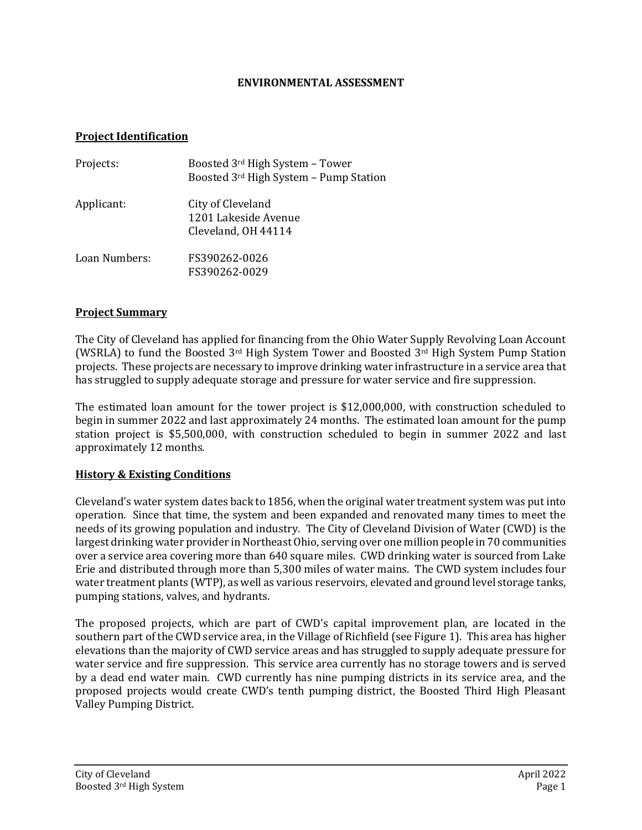#### **ENVIRONMENTAL ASSESSMENT**

#### **Project Identification**

| Projects:     | Boosted 3rd High System - Tower<br>Boosted 3rd High System - Pump Station |
|---------------|---------------------------------------------------------------------------|
| Applicant:    | City of Cleveland<br>1201 Lakeside Avenue<br>Cleveland, OH 44114          |
| Loan Numbers: | FS390262-0026<br>FS390262-0029                                            |

#### **Project Summary**

The City of Cleveland has applied for financing from the Ohio Water Supply Revolving Loan Account (WSRLA) to fund the Boosted 3<sup>rd</sup> High System Tower and Boosted 3<sup>rd</sup> High System Pump Station projects. These projects are necessary to improve drinking water infrastructure in a service area that has struggled to supply adequate storage and pressure for water service and fire suppression.

The estimated loan amount for the tower project is \$12,000,000, with construction scheduled to begin in summer 2022 and last approximately 24 months. The estimated loan amount for the pump station project is \$5,500,000, with construction scheduled to begin in summer 2022 and last approximately 12 months.

#### **History & Existing Conditions**

Cleveland's water system dates back to 1856, when the original water treatment system was put into operation. Since that time, the system and been expanded and renovated many times to meet the needs of its growing population and industry. The City of Cleveland Division of Water (CWD) is the largest drinking water provider in Northeast Ohio, serving over one million people in 70 communities over a service area covering more than 640 square miles. CWD drinking water is sourced from Lake Erie and distributed through more than 5,300 miles of water mains. The CWD system includes four water treatment plants (WTP), as well as various reservoirs, elevated and ground level storage tanks, pumping stations, valves, and hydrants.

The proposed projects, which are part of CWD's capital improvement plan, are located in the southern part of the CWD service area, in the Village of Richfield (see Figure 1). This area has higher elevations than the majority of CWD service areas and has struggled to supply adequate pressure for water service and fire suppression. This service area currently has no storage towers and is served by a dead end water main. CWD currently has nine pumping districts in its service area, and the proposed projects would create CWD's tenth pumping district, the Boosted Third High Pleasant Valley Pumping District.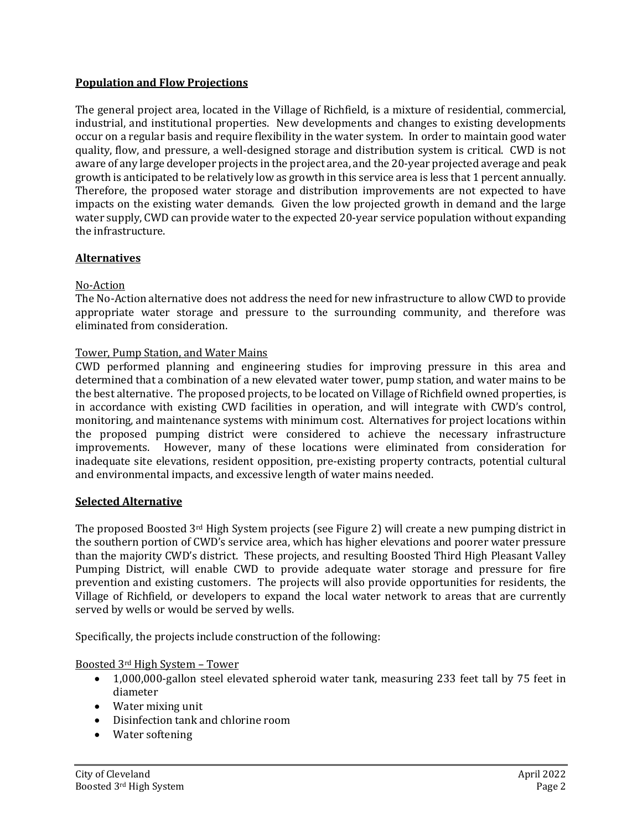## **Population and Flow Projections**

The general project area, located in the Village of Richfield, is a mixture of residential, commercial, industrial, and institutional properties. New developments and changes to existing developments occur on a regular basis and require flexibility in the water system. In order to maintain good water quality, flow, and pressure, a well-designed storage and distribution system is critical. CWD is not aware of any large developer projects in the project area, and the 20-year projected average and peak growth is anticipated to be relatively low as growth in this service area is less that 1 percent annually. Therefore, the proposed water storage and distribution improvements are not expected to have impacts on the existing water demands. Given the low projected growth in demand and the large water supply, CWD can provide water to the expected 20-year service population without expanding the infrastructure.

## **Alternatives**

### No-Action

The No-Action alternative does not address the need for new infrastructure to allow CWD to provide appropriate water storage and pressure to the surrounding community, and therefore was eliminated from consideration.

### Tower, Pump Station, and Water Mains

CWD performed planning and engineering studies for improving pressure in this area and determined that a combination of a new elevated water tower, pump station, and water mains to be the best alternative. The proposed projects, to be located on Village of Richfield owned properties, is in accordance with existing CWD facilities in operation, and will integrate with CWD's control, monitoring, and maintenance systems with minimum cost. Alternatives for project locations within the proposed pumping district were considered to achieve the necessary infrastructure improvements. However, many of these locations were eliminated from consideration for inadequate site elevations, resident opposition, pre-existing property contracts, potential cultural and environmental impacts, and excessive length of water mains needed.

#### **Selected Alternative**

The proposed Boosted 3rd High System projects (see Figure 2) will create a new pumping district in the southern portion of CWD's service area, which has higher elevations and poorer water pressure than the majority CWD's district. These projects, and resulting Boosted Third High Pleasant Valley Pumping District, will enable CWD to provide adequate water storage and pressure for fire prevention and existing customers. The projects will also provide opportunities for residents, the Village of Richfield, or developers to expand the local water network to areas that are currently served by wells or would be served by wells.

Specifically, the projects include construction of the following:

Boosted 3rd High System – Tower

- 1,000,000-gallon steel elevated spheroid water tank, measuring 233 feet tall by 75 feet in diameter
- Water mixing unit
- Disinfection tank and chlorine room
- Water softening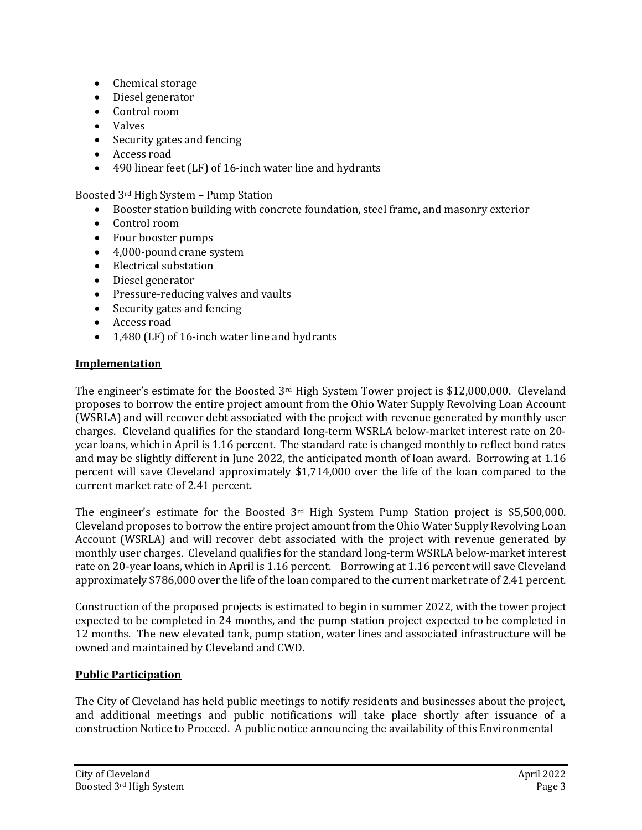- Chemical storage
- Diesel generator
- Control room
- Valves
- Security gates and fencing
- Access road
- 490 linear feet (LF) of 16-inch water line and hydrants

### Boosted 3rd High System – Pump Station

- Booster station building with concrete foundation, steel frame, and masonry exterior
- Control room
- Four booster pumps
- 4,000-pound crane system
- Electrical substation
- Diesel generator
- Pressure-reducing valves and vaults
- Security gates and fencing
- Access road
- 1,480 (LF) of 16-inch water line and hydrants

## **Implementation**

The engineer's estimate for the Boosted 3rd High System Tower project is \$12,000,000. Cleveland proposes to borrow the entire project amount from the Ohio Water Supply Revolving Loan Account (WSRLA) and will recover debt associated with the project with revenue generated by monthly user charges. Cleveland qualifies for the standard long-term WSRLA below-market interest rate on 20 year loans, which in April is 1.16 percent. The standard rate is changed monthly to reflect bond rates and may be slightly different in June 2022, the anticipated month of loan award. Borrowing at 1.16 percent will save Cleveland approximately \$1,714,000 over the life of the loan compared to the current market rate of 2.41 percent.

The engineer's estimate for the Boosted 3rd High System Pump Station project is \$5,500,000. Cleveland proposes to borrow the entire project amount from the Ohio Water Supply Revolving Loan Account (WSRLA) and will recover debt associated with the project with revenue generated by monthly user charges. Cleveland qualifies for the standard long-term WSRLA below-market interest rate on 20-year loans, which in April is 1.16 percent. Borrowing at 1.16 percent will save Cleveland approximately \$786,000 over the life of the loan compared to the current market rate of 2.41 percent.

Construction of the proposed projects is estimated to begin in summer 2022, with the tower project expected to be completed in 24 months, and the pump station project expected to be completed in 12 months. The new elevated tank, pump station, water lines and associated infrastructure will be owned and maintained by Cleveland and CWD.

# **Public Participation**

The City of Cleveland has held public meetings to notify residents and businesses about the project, and additional meetings and public notifications will take place shortly after issuance of a construction Notice to Proceed. A public notice announcing the availability of this Environmental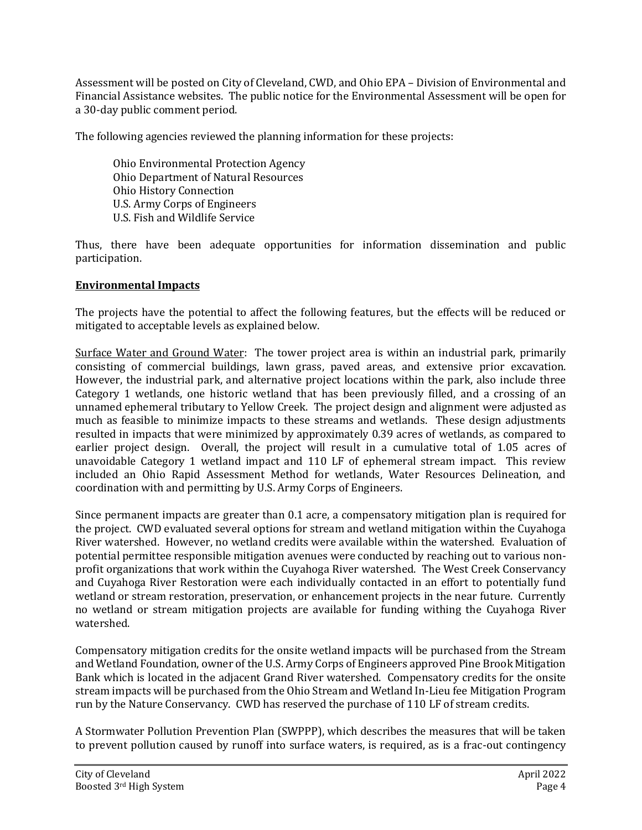Assessment will be posted on City of Cleveland, CWD, and Ohio EPA – Division of Environmental and Financial Assistance websites. The public notice for the Environmental Assessment will be open for a 30-day public comment period.

The following agencies reviewed the planning information for these projects:

Ohio Environmental Protection Agency Ohio Department of Natural Resources Ohio History Connection U.S. Army Corps of Engineers U.S. Fish and Wildlife Service

Thus, there have been adequate opportunities for information dissemination and public participation.

## **Environmental Impacts**

The projects have the potential to affect the following features, but the effects will be reduced or mitigated to acceptable levels as explained below.

Surface Water and Ground Water: The tower project area is within an industrial park, primarily consisting of commercial buildings, lawn grass, paved areas, and extensive prior excavation. However, the industrial park, and alternative project locations within the park, also include three Category 1 wetlands, one historic wetland that has been previously filled, and a crossing of an unnamed ephemeral tributary to Yellow Creek. The project design and alignment were adjusted as much as feasible to minimize impacts to these streams and wetlands. These design adjustments resulted in impacts that were minimized by approximately 0.39 acres of wetlands, as compared to earlier project design. Overall, the project will result in a cumulative total of 1.05 acres of unavoidable Category 1 wetland impact and 110 LF of ephemeral stream impact. This review included an Ohio Rapid Assessment Method for wetlands, Water Resources Delineation, and coordination with and permitting by U.S. Army Corps of Engineers.

Since permanent impacts are greater than 0.1 acre, a compensatory mitigation plan is required for the project. CWD evaluated several options for stream and wetland mitigation within the Cuyahoga River watershed. However, no wetland credits were available within the watershed. Evaluation of potential permittee responsible mitigation avenues were conducted by reaching out to various nonprofit organizations that work within the Cuyahoga River watershed. The West Creek Conservancy and Cuyahoga River Restoration were each individually contacted in an effort to potentially fund wetland or stream restoration, preservation, or enhancement projects in the near future. Currently no wetland or stream mitigation projects are available for funding withing the Cuyahoga River watershed.

Compensatory mitigation credits for the onsite wetland impacts will be purchased from the Stream and Wetland Foundation, owner of the U.S. Army Corps of Engineers approved Pine Brook Mitigation Bank which is located in the adjacent Grand River watershed. Compensatory credits for the onsite stream impacts will be purchased from the Ohio Stream and Wetland In-Lieu fee Mitigation Program run by the Nature Conservancy. CWD has reserved the purchase of 110 LF of stream credits.

A Stormwater Pollution Prevention Plan (SWPPP), which describes the measures that will be taken to prevent pollution caused by runoff into surface waters, is required, as is a frac-out contingency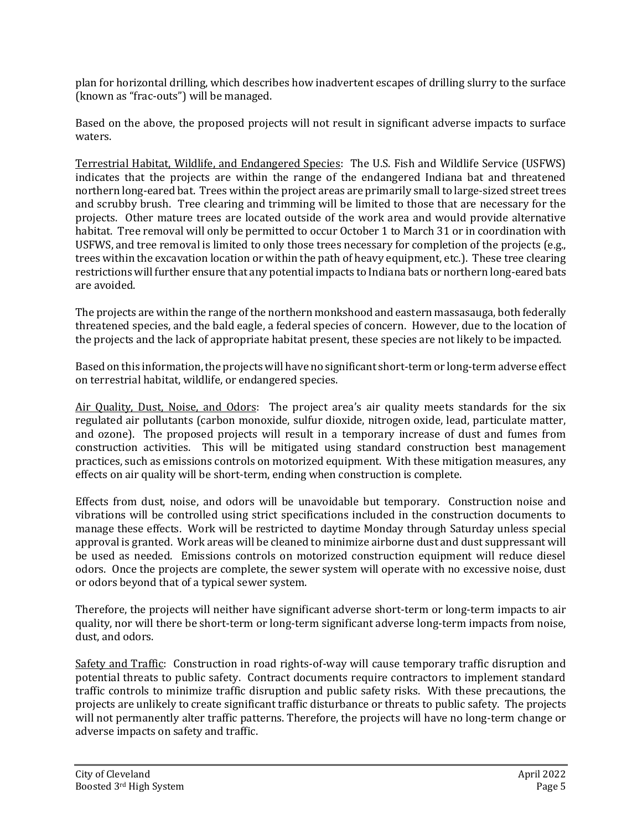plan for horizontal drilling, which describes how inadvertent escapes of drilling slurry to the surface (known as "frac-outs") will be managed.

Based on the above, the proposed projects will not result in significant adverse impacts to surface waters.

Terrestrial Habitat, Wildlife, and Endangered Species: The U.S. Fish and Wildlife Service (USFWS) indicates that the projects are within the range of the endangered Indiana bat and threatened northern long-eared bat. Trees within the project areas are primarily small to large-sized street trees and scrubby brush. Tree clearing and trimming will be limited to those that are necessary for the projects. Other mature trees are located outside of the work area and would provide alternative habitat. Tree removal will only be permitted to occur October 1 to March 31 or in coordination with USFWS, and tree removal is limited to only those trees necessary for completion of the projects (e.g., trees within the excavation location or within the path of heavy equipment, etc.). These tree clearing restrictions will further ensure that any potential impacts to Indiana bats or northern long-eared bats are avoided.

The projects are within the range of the northern monkshood and eastern massasauga, both federally threatened species, and the bald eagle, a federal species of concern. However, due to the location of the projects and the lack of appropriate habitat present, these species are not likely to be impacted.

Based on this information, the projects will have no significant short-term or long-term adverse effect on terrestrial habitat, wildlife, or endangered species.

Air Quality, Dust, Noise, and Odors: The project area's air quality meets standards for the six regulated air pollutants (carbon monoxide, sulfur dioxide, nitrogen oxide, lead, particulate matter, and ozone). The proposed projects will result in a temporary increase of dust and fumes from construction activities. This will be mitigated using standard construction best management practices, such as emissions controls on motorized equipment. With these mitigation measures, any effects on air quality will be short-term, ending when construction is complete.

Effects from dust, noise, and odors will be unavoidable but temporary. Construction noise and vibrations will be controlled using strict specifications included in the construction documents to manage these effects. Work will be restricted to daytime Monday through Saturday unless special approval is granted. Work areas will be cleaned to minimize airborne dust and dust suppressant will be used as needed. Emissions controls on motorized construction equipment will reduce diesel odors. Once the projects are complete, the sewer system will operate with no excessive noise, dust or odors beyond that of a typical sewer system.

Therefore, the projects will neither have significant adverse short-term or long-term impacts to air quality, nor will there be short-term or long-term significant adverse long-term impacts from noise, dust, and odors.

Safety and Traffic: Construction in road rights-of-way will cause temporary traffic disruption and potential threats to public safety. Contract documents require contractors to implement standard traffic controls to minimize traffic disruption and public safety risks. With these precautions, the projects are unlikely to create significant traffic disturbance or threats to public safety. The projects will not permanently alter traffic patterns. Therefore, the projects will have no long-term change or adverse impacts on safety and traffic.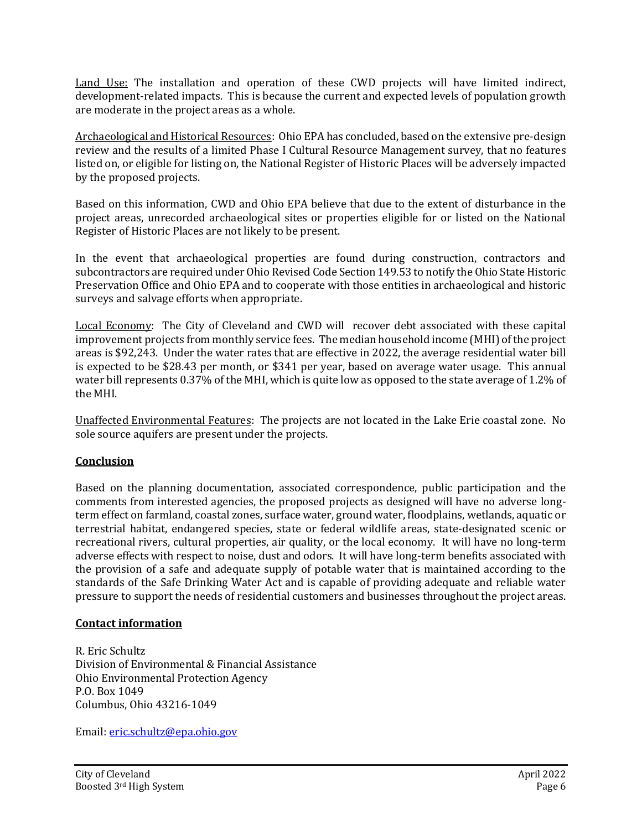Land Use: The installation and operation of these CWD projects will have limited indirect, development-related impacts. This is because the current and expected levels of population growth are moderate in the project areas as a whole.

Archaeological and Historical Resources: Ohio EPA has concluded, based on the extensive pre-design review and the results of a limited Phase I Cultural Resource Management survey, that no features listed on, or eligible for listing on, the National Register of Historic Places will be adversely impacted by the proposed projects.

Based on this information, CWD and Ohio EPA believe that due to the extent of disturbance in the project areas, unrecorded archaeological sites or properties eligible for or listed on the National Register of Historic Places are not likely to be present.

In the event that archaeological properties are found during construction, contractors and subcontractors are required under Ohio Revised Code Section 149.53 to notify the Ohio State Historic Preservation Office and Ohio EPA and to cooperate with those entities in archaeological and historic surveys and salvage efforts when appropriate.

Local Economy: The City of Cleveland and CWD will recover debt associated with these capital improvement projects from monthly service fees. The median household income (MHI) of the project areas is \$92,243. Under the water rates that are effective in 2022, the average residential water bill is expected to be \$28.43 per month, or \$341 per year, based on average water usage. This annual water bill represents 0.37% of the MHI, which is quite low as opposed to the state average of 1.2% of the MHI.

Unaffected Environmental Features: The projects are not located in the Lake Erie coastal zone. No sole source aquifers are present under the projects.

## **Conclusion**

Based on the planning documentation, associated correspondence, public participation and the comments from interested agencies, the proposed projects as designed will have no adverse longterm effect on farmland, coastal zones, surface water, ground water, floodplains, wetlands, aquatic or terrestrial habitat, endangered species, state or federal wildlife areas, state-designated scenic or recreational rivers, cultural properties, air quality, or the local economy. It will have no long-term adverse effects with respect to noise, dust and odors. It will have long-term benefits associated with the provision of a safe and adequate supply of potable water that is maintained according to the standards of the Safe Drinking Water Act and is capable of providing adequate and reliable water pressure to support the needs of residential customers and businesses throughout the project areas.

## **Contact information**

R. Eric Schultz Division of Environmental & Financial Assistance Ohio Environmental Protection Agency P.O. Box 1049 Columbus, Ohio 43216-1049

Email: [eric.schultz@epa.ohio.gov](mailto:eric.schultz@epa.ohio.gov)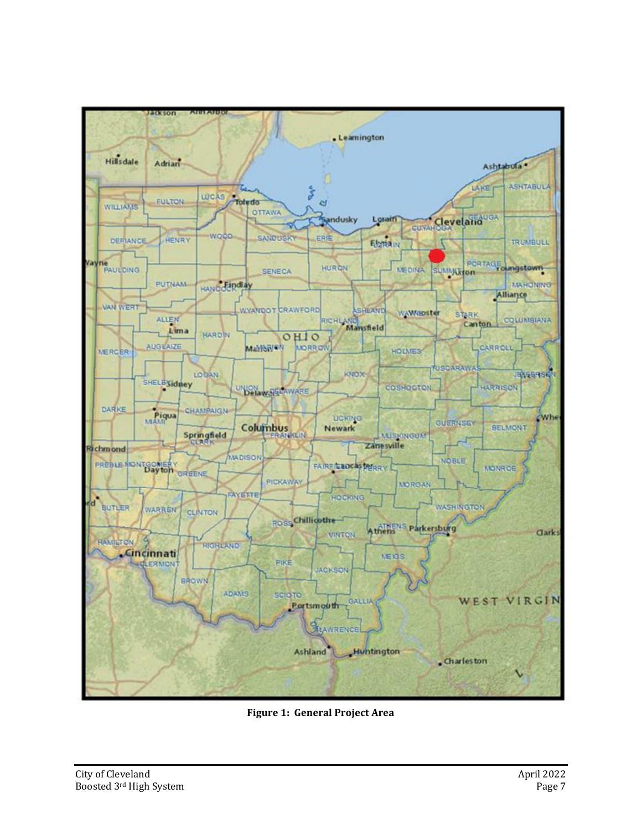

**Figure 1: General Project Area**